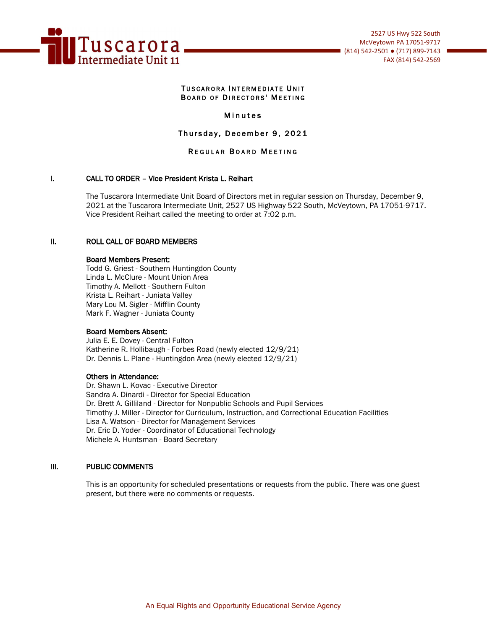

#### TUSCARORA INTERMEDIATE UNIT BOARD OF DIRECTORS' MEETING

## Minutes

# Thursday, December 9, 2021

# REGULAR BOARD MEETING

## I. CALL TO ORDER – Vice President Krista L. Reihart

The Tuscarora Intermediate Unit Board of Directors met in regular session on Thursday, December 9, 2021 at the Tuscarora Intermediate Unit, 2527 US Highway 522 South, McVeytown, PA 17051-9717. Vice President Reihart called the meeting to order at 7:02 p.m.

#### II. ROLL CALL OF BOARD MEMBERS

#### Board Members Present:

Todd G. Griest - Southern Huntingdon County Linda L. McClure - Mount Union Area Timothy A. Mellott - Southern Fulton Krista L. Reihart - Juniata Valley Mary Lou M. Sigler - Mifflin County Mark F. Wagner - Juniata County

#### Board Members Absent:

Julia E. E. Dovey - Central Fulton Katherine R. Hollibaugh - Forbes Road (newly elected 12/9/21) Dr. Dennis L. Plane - Huntingdon Area (newly elected 12/9/21)

#### Others in Attendance:

Dr. Shawn L. Kovac - Executive Director Sandra A. Dinardi - Director for Special Education Dr. Brett A. Gilliland - Director for Nonpublic Schools and Pupil Services Timothy J. Miller - Director for Curriculum, Instruction, and Correctional Education Facilities Lisa A. Watson - Director for Management Services Dr. Eric D. Yoder - Coordinator of Educational Technology Michele A. Huntsman - Board Secretary

#### III. PUBLIC COMMENTS

This is an opportunity for scheduled presentations or requests from the public. There was one guest present, but there were no comments or requests.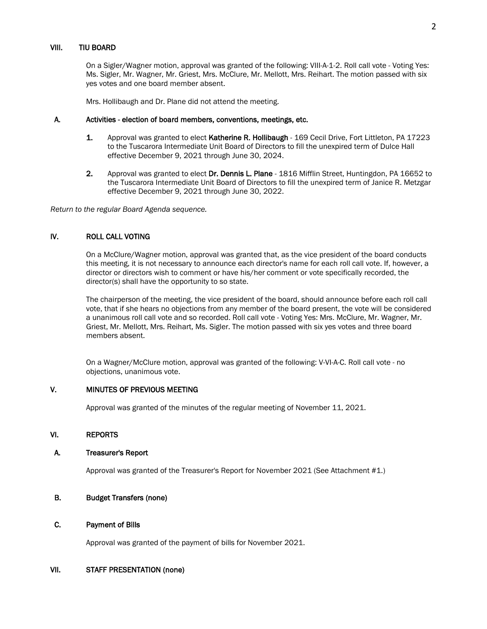On a Sigler/Wagner motion, approval was granted of the following: VIII-A-1-2. Roll call vote - Voting Yes: Ms. Sigler, Mr. Wagner, Mr. Griest, Mrs. McClure, Mr. Mellott, Mrs. Reihart. The motion passed with six yes votes and one board member absent.

Mrs. Hollibaugh and Dr. Plane did not attend the meeting.

#### A. Activities - election of board members, conventions, meetings, etc.

- 1. Approval was granted to elect Katherine R. Hollibaugh 169 Cecil Drive, Fort Littleton, PA 17223 to the Tuscarora Intermediate Unit Board of Directors to fill the unexpired term of Dulce Hall effective December 9, 2021 through June 30, 2024.
- 2. Approval was granted to elect Dr. Dennis L. Plane 1816 Mifflin Street, Huntingdon, PA 16652 to the Tuscarora Intermediate Unit Board of Directors to fill the unexpired term of Janice R. Metzgar effective December 9, 2021 through June 30, 2022.

*Return to the regular Board Agenda sequence.*

## IV. ROLL CALL VOTING

On a McClure/Wagner motion, approval was granted that, as the vice president of the board conducts this meeting, it is not necessary to announce each director's name for each roll call vote. If, however, a director or directors wish to comment or have his/her comment or vote specifically recorded, the director(s) shall have the opportunity to so state.

The chairperson of the meeting, the vice president of the board, should announce before each roll call vote, that if she hears no objections from any member of the board present, the vote will be considered a unanimous roll call vote and so recorded. Roll call vote - Voting Yes: Mrs. McClure, Mr. Wagner, Mr. Griest, Mr. Mellott, Mrs. Reihart, Ms. Sigler. The motion passed with six yes votes and three board members absent.

 On a Wagner/McClure motion, approval was granted of the following: V-VI-A-C. Roll call vote - no objections, unanimous vote.

# V. MINUTES OF PREVIOUS MEETING

Approval was granted of the minutes of the regular meeting of November 11, 2021.

## VI. REPORTS

#### A. Treasurer's Report

Approval was granted of the Treasurer's Report for November 2021 (See Attachment #1.)

## B. Budget Transfers (none)

#### C. Payment of Bills

Approval was granted of the payment of bills for November 2021.

# VII. STAFF PRESENTATION (none)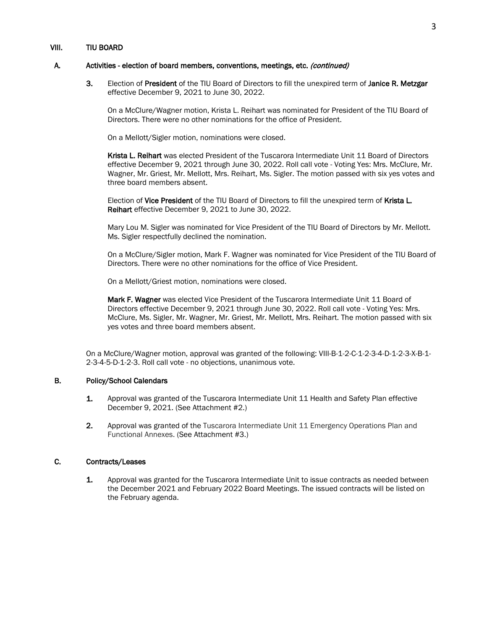#### A. Activities - election of board members, conventions, meetings, etc. (continued)

3. Election of President of the TIU Board of Directors to fill the unexpired term of Janice R. Metzgar effective December 9, 2021 to June 30, 2022.

On a McClure/Wagner motion, Krista L. Reihart was nominated for President of the TIU Board of Directors. There were no other nominations for the office of President.

On a Mellott/Sigler motion, nominations were closed.

Krista L. Reihart was elected President of the Tuscarora Intermediate Unit 11 Board of Directors effective December 9, 2021 through June 30, 2022. Roll call vote - Voting Yes: Mrs. McClure, Mr. Wagner, Mr. Griest, Mr. Mellott, Mrs. Reihart, Ms. Sigler. The motion passed with six yes votes and three board members absent.

Election of Vice President of the TIU Board of Directors to fill the unexpired term of Krista L. Reihart effective December 9, 2021 to June 30, 2022.

Mary Lou M. Sigler was nominated for Vice President of the TIU Board of Directors by Mr. Mellott. Ms. Sigler respectfully declined the nomination.

On a McClure/Sigler motion, Mark F. Wagner was nominated for Vice President of the TIU Board of Directors. There were no other nominations for the office of Vice President.

On a Mellott/Griest motion, nominations were closed.

Mark F. Wagner was elected Vice President of the Tuscarora Intermediate Unit 11 Board of Directors effective December 9, 2021 through June 30, 2022. Roll call vote - Voting Yes: Mrs. McClure, Ms. Sigler, Mr. Wagner, Mr. Griest, Mr. Mellott, Mrs. Reihart. The motion passed with six yes votes and three board members absent.

 On a McClure/Wagner motion, approval was granted of the following: VIII-B-1-2-C-1-2-3-4-D-1-2-3-X-B-1- 2-3-4-5-D-1-2-3. Roll call vote - no objections, unanimous vote.

## B. Policy/School Calendars

- 1. Approval was granted of the Tuscarora Intermediate Unit 11 Health and Safety Plan effective December 9, 2021. (See Attachment #2.)
- 2. Approval was granted of the Tuscarora Intermediate Unit 11 Emergency Operations Plan and Functional Annexes. (See Attachment #3.)

#### C. Contracts/Leases

1. Approval was granted for the Tuscarora Intermediate Unit to issue contracts as needed between the December 2021 and February 2022 Board Meetings. The issued contracts will be listed on the February agenda.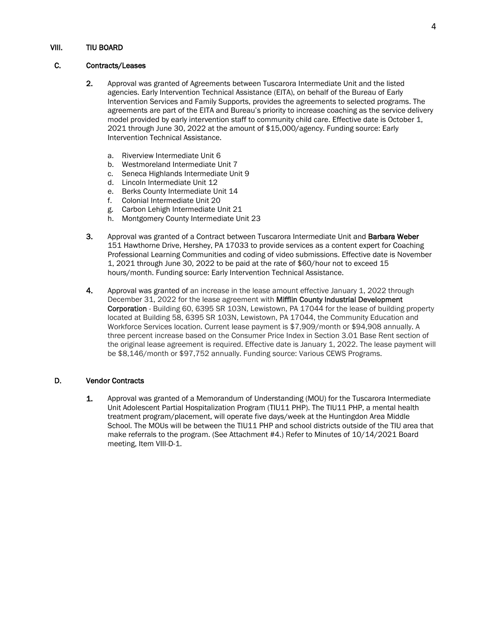## C. Contracts/Leases

- 2. Approval was granted of Agreements between Tuscarora Intermediate Unit and the listed agencies. Early Intervention Technical Assistance (EITA), on behalf of the Bureau of Early Intervention Services and Family Supports, provides the agreements to selected programs. The agreements are part of the EITA and Bureau's priority to increase coaching as the service delivery model provided by early intervention staff to community child care. Effective date is October 1, 2021 through June 30, 2022 at the amount of \$15,000/agency. Funding source: Early Intervention Technical Assistance.
	- a. Riverview Intermediate Unit 6
	- b. Westmoreland Intermediate Unit 7
	- c. Seneca Highlands Intermediate Unit 9
	- d. Lincoln Intermediate Unit 12
	- e. Berks County Intermediate Unit 14
	- f. Colonial Intermediate Unit 20
	- g. Carbon Lehigh Intermediate Unit 21
	- h. Montgomery County Intermediate Unit 23
- 3. Approval was granted of a Contract between Tuscarora Intermediate Unit and Barbara Weber 151 Hawthorne Drive, Hershey, PA 17033 to provide services as a content expert for Coaching Professional Learning Communities and coding of video submissions. Effective date is November 1, 2021 through June 30, 2022 to be paid at the rate of \$60/hour not to exceed 15 hours/month. Funding source: Early Intervention Technical Assistance.
- 4. Approval was granted of an increase in the lease amount effective January 1, 2022 through December 31, 2022 for the lease agreement with Mifflin County Industrial Development Corporation - Building 60, 6395 SR 103N, Lewistown, PA 17044 for the lease of building property located at Building 58, 6395 SR 103N, Lewistown, PA 17044, the Community Education and Workforce Services location. Current lease payment is \$7,909/month or \$94,908 annually. A three percent increase based on the Consumer Price Index in Section 3.01 Base Rent section of the original lease agreement is required. Effective date is January 1, 2022. The lease payment will be \$8,146/month or \$97,752 annually. Funding source: Various CEWS Programs.

# D. Vendor Contracts

1. Approval was granted of a Memorandum of Understanding (MOU) for the Tuscarora Intermediate Unit Adolescent Partial Hospitalization Program (TIU11 PHP). The TIU11 PHP, a mental health treatment program/placement, will operate five days/week at the Huntingdon Area Middle School. The MOUs will be between the TIU11 PHP and school districts outside of the TIU area that make referrals to the program. (See Attachment #4.) Refer to Minutes of 10/14/2021 Board meeting, Item VIII-D-1.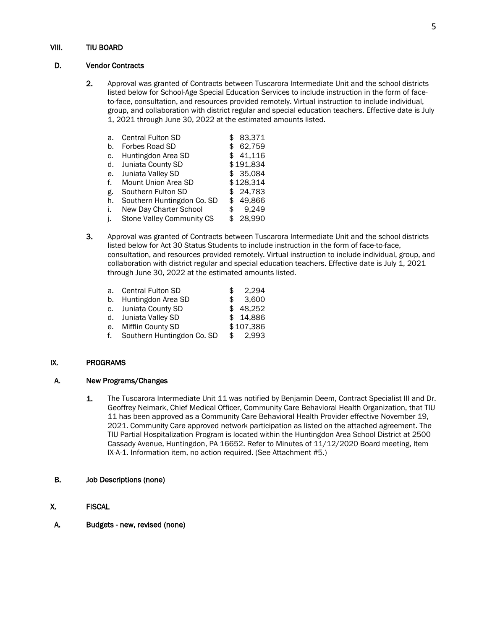#### D. Vendor Contracts

2. Approval was granted of Contracts between Tuscarora Intermediate Unit and the school districts listed below for School-Age Special Education Services to include instruction in the form of faceto-face, consultation, and resources provided remotely. Virtual instruction to include individual, group, and collaboration with district regular and special education teachers. Effective date is July 1, 2021 through June 30, 2022 at the estimated amounts listed.

| a. | <b>Central Fulton SD</b>   | \$  | 83.371    |
|----|----------------------------|-----|-----------|
| b. | Forbes Road SD             | \$  | 62,759    |
| c. | Huntingdon Area SD         | \$  | 41,116    |
| d. | Juniata County SD          |     | \$191,834 |
| е. | Juniata Valley SD          |     | \$35,084  |
| f. | Mount Union Area SD        |     | \$128,314 |
| g. | Southern Fulton SD         |     | \$24,783  |
| h. | Southern Huntingdon Co. SD | \$. | 49,866    |
| i. | New Day Charter School     | \$  | 9,249     |
| j. | Stone Valley Community CS  | \$. | 28,990    |

- 3. Approval was granted of Contracts between Tuscarora Intermediate Unit and the school districts listed below for Act 30 Status Students to include instruction in the form of face-to-face, consultation, and resources provided remotely. Virtual instruction to include individual, group, and collaboration with district regular and special education teachers. Effective date is July 1, 2021 through June 30, 2022 at the estimated amounts listed.
	- a. Central Fulton SD  $$ 2,294$ b. Huntingdon Area SD  $$3,600$ c. Juniata County SD  $$ 48.252$
	- d. Juniata Valley SD \$ 14,886
	- e. Mifflin County SD \$107,386<br>f. Southern Huntingdon Co. SD \$ 2,993 f. Southern Huntingdon Co. SD \$

## IX. PROGRAMS

## A. New Programs/Changes

- 1. The Tuscarora Intermediate Unit 11 was notified by Benjamin Deem, Contract Specialist III and Dr. Geoffrey Neimark, Chief Medical Officer, Community Care Behavioral Health Organization, that TIU 11 has been approved as a Community Care Behavioral Health Provider effective November 19, 2021. Community Care approved network participation as listed on the attached agreement. The TIU Partial Hospitalization Program is located within the Huntingdon Area School District at 2500 Cassady Avenue, Huntingdon, PA 16652. Refer to Minutes of 11/12/2020 Board meeting, Item IX-A-1. Information item, no action required. (See Attachment #5.)
- B. Job Descriptions (none)
- X. FISCAL
- A. Budgets new, revised (none)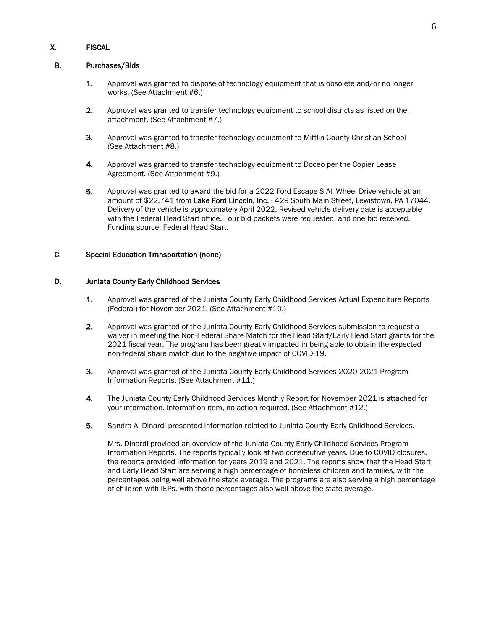# X. FISCAL

#### B. Purchases/Bids

- 1. Approval was granted to dispose of technology equipment that is obsolete and/or no longer works. (See Attachment #6.)
- 2. Approval was granted to transfer technology equipment to school districts as listed on the attachment. (See Attachment #7.)
- 3. Approval was granted to transfer technology equipment to Mifflin County Christian School (See Attachment #8.)
- 4. Approval was granted to transfer technology equipment to Doceo per the Copier Lease Agreement. (See Attachment #9.)
- 5. Approval was granted to award the bid for a 2022 Ford Escape S All Wheel Drive vehicle at an amount of \$22,741 from Lake Ford Lincoln, Inc. - 429 South Main Street, Lewistown, PA 17044. Delivery of the vehicle is approximately April 2022. Revised vehicle delivery date is acceptable with the Federal Head Start office. Four bid packets were requested, and one bid received. Funding source: Federal Head Start.

## C. Special Education Transportation (none)

#### D. Juniata County Early Childhood Services

- 1. Approval was granted of the Juniata County Early Childhood Services Actual Expenditure Reports (Federal) for November 2021. (See Attachment #10.)
- 2. Approval was granted of the Juniata County Early Childhood Services submission to request a waiver in meeting the Non-Federal Share Match for the Head Start/Early Head Start grants for the 2021 fiscal year. The program has been greatly impacted in being able to obtain the expected non-federal share match due to the negative impact of COVID-19.
- 3. Approval was granted of the Juniata County Early Childhood Services 2020-2021 Program Information Reports. (See Attachment #11.)
- 4. The Juniata County Early Childhood Services Monthly Report for November 2021 is attached for your information. Information item, no action required. (See Attachment #12.)
- 5. Sandra A. Dinardi presented information related to Juniata County Early Childhood Services.

Mrs. Dinardi provided an overview of the Juniata County Early Childhood Services Program Information Reports. The reports typically look at two consecutive years. Due to COVID closures, the reports provided information for years 2019 and 2021. The reports show that the Head Start and Early Head Start are serving a high percentage of homeless children and families, with the percentages being well above the state average. The programs are also serving a high percentage of children with IEPs, with those percentages also well above the state average.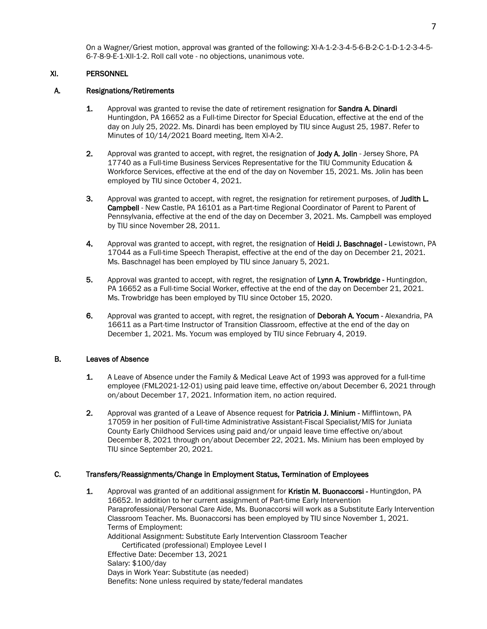On a Wagner/Griest motion, approval was granted of the following: XI-A-1-2-3-4-5-6-B-2-C-1-D-1-2-3-4-5- 6-7-8-9-E-1-XII-1-2. Roll call vote - no objections, unanimous vote.

## XI. PERSONNEL

#### A. Resignations/Retirements

- 1. Approval was granted to revise the date of retirement resignation for **Sandra A. Dinardi** Huntingdon, PA 16652 as a Full-time Director for Special Education, effective at the end of the day on July 25, 2022. Ms. Dinardi has been employed by TIU since August 25, 1987. Refer to Minutes of 10/14/2021 Board meeting, Item XI-A-2.
- 2. Approval was granted to accept, with regret, the resignation of Jody A. Jolin Jersey Shore, PA 17740 as a Full-time Business Services Representative for the TIU Community Education & Workforce Services, effective at the end of the day on November 15, 2021. Ms. Jolin has been employed by TIU since October 4, 2021.
- 3. Approval was granted to accept, with regret, the resignation for retirement purposes, of Judith L. Campbell - New Castle, PA 16101 as a Part-time Regional Coordinator of Parent to Parent of Pennsylvania, effective at the end of the day on December 3, 2021. Ms. Campbell was employed by TIU since November 28, 2011.
- 4. Approval was granted to accept, with regret, the resignation of Heidi J. Baschnagel Lewistown, PA 17044 as a Full-time Speech Therapist, effective at the end of the day on December 21, 2021. Ms. Baschnagel has been employed by TIU since January 5, 2021.
- 5. Approval was granted to accept, with regret, the resignation of Lynn A. Trowbridge Huntingdon, PA 16652 as a Full-time Social Worker, effective at the end of the day on December 21, 2021. Ms. Trowbridge has been employed by TIU since October 15, 2020.
- 6. Approval was granted to accept, with regret, the resignation of Deborah A. Yocum Alexandria, PA 16611 as a Part-time Instructor of Transition Classroom, effective at the end of the day on December 1, 2021. Ms. Yocum was employed by TIU since February 4, 2019.

#### B. Leaves of Absence

- 1. A Leave of Absence under the Family & Medical Leave Act of 1993 was approved for a full-time employee (FML2021-12-01) using paid leave time, effective on/about December 6, 2021 through on/about December 17, 2021. Information item, no action required.
- 2. Approval was granted of a Leave of Absence request for **Patricia J. Minium** Mifflintown, PA 17059 in her position of Full-time Administrative Assistant-Fiscal Specialist/MIS for Juniata County Early Childhood Services using paid and/or unpaid leave time effective on/about December 8, 2021 through on/about December 22, 2021. Ms. Minium has been employed by TIU since September 20, 2021.

#### C. Transfers/Reassignments/Change in Employment Status, Termination of Employees

1. Approval was granted of an additional assignment for Kristin M. Buonaccorsi - Huntingdon, PA 16652. In addition to her current assignment of Part-time Early Intervention Paraprofessional/Personal Care Aide, Ms. Buonaccorsi will work as a Substitute Early Intervention Classroom Teacher. Ms. Buonaccorsi has been employed by TIU since November 1, 2021. Terms of Employment: Additional Assignment: Substitute Early Intervention Classroom Teacher Certificated (professional) Employee Level I Effective Date: December 13, 2021 Salary: \$100/day Days in Work Year: Substitute (as needed) Benefits: None unless required by state/federal mandates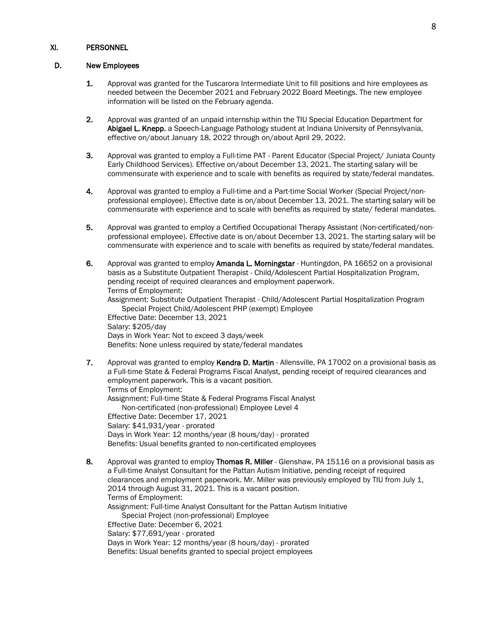## XI. PERSONNEL

## D. New Employees

- 1. Approval was granted for the Tuscarora Intermediate Unit to fill positions and hire employees as needed between the December 2021 and February 2022 Board Meetings. The new employee information will be listed on the February agenda.
- 2. Approval was granted of an unpaid internship within the TIU Special Education Department for Abigael L. Knepp, a Speech-Language Pathology student at Indiana University of Pennsylvania, effective on/about January 18, 2022 through on/about April 29, 2022.
- 3. Approval was granted to employ a Full-time PAT Parent Educator (Special Project/ Juniata County Early Childhood Services). Effective on/about December 13, 2021. The starting salary will be commensurate with experience and to scale with benefits as required by state/federal mandates.
- 4. Approval was granted to employ a Full-time and a Part-time Social Worker (Special Project/nonprofessional employee). Effective date is on/about December 13, 2021. The starting salary will be commensurate with experience and to scale with benefits as required by state/ federal mandates.
- 5. Approval was granted to employ a Certified Occupational Therapy Assistant (Non-certificated/nonprofessional employee). Effective date is on/about December 13, 2021. The starting salary will be commensurate with experience and to scale with benefits as required by state/federal mandates.
- 6. Approval was granted to employ Amanda L. Morningstar Huntingdon, PA 16652 on a provisional basis as a Substitute Outpatient Therapist - Child/Adolescent Partial Hospitalization Program, pending receipt of required clearances and employment paperwork. Terms of Employment: Assignment: Substitute Outpatient Therapist - Child/Adolescent Partial Hospitalization Program Special Project Child/Adolescent PHP (exempt) Employee Effective Date: December 13, 2021 Salary: \$205/day Days in Work Year: Not to exceed 3 days/week Benefits: None unless required by state/federal mandates
- 7. Approval was granted to employ Kendra D. Martin Allensville, PA 17002 on a provisional basis as a Full-time State & Federal Programs Fiscal Analyst, pending receipt of required clearances and employment paperwork. This is a vacant position. Terms of Employment: Assignment: Full-time State & Federal Programs Fiscal Analyst Non-certificated (non-professional) Employee Level 4 Effective Date: December 17, 2021 Salary: \$41,931/year - prorated Days in Work Year: 12 months/year (8 hours/day) - prorated Benefits: Usual benefits granted to non-certificated employees
- 8. Approval was granted to employ Thomas R. Miller Glenshaw, PA 15116 on a provisional basis as a Full-time Analyst Consultant for the Pattan Autism Initiative, pending receipt of required clearances and employment paperwork. Mr. Miller was previously employed by TIU from July 1, 2014 through August 31, 2021. This is a vacant position. Terms of Employment: Assignment: Full-time Analyst Consultant for the Pattan Autism Initiative Special Project (non-professional) Employee Effective Date: December 6, 2021 Salary: \$77,691/year - prorated Days in Work Year: 12 months/year (8 hours/day) - prorated Benefits: Usual benefits granted to special project employees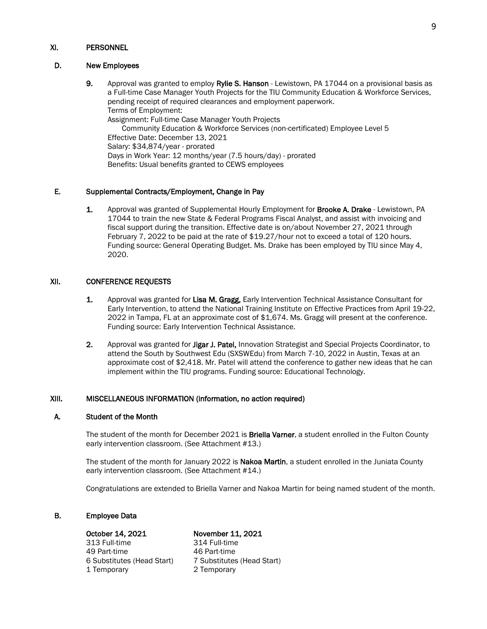#### XI. PERSONNEL

#### D. New Employees

9. Approval was granted to employ Rylie S. Hanson - Lewistown, PA 17044 on a provisional basis as a Full-time Case Manager Youth Projects for the TIU Community Education & Workforce Services, pending receipt of required clearances and employment paperwork. Terms of Employment: Assignment: Full-time Case Manager Youth Projects Community Education & Workforce Services (non-certificated) Employee Level 5 Effective Date: December 13, 2021 Salary: \$34,874/year - prorated Days in Work Year: 12 months/year (7.5 hours/day) - prorated Benefits: Usual benefits granted to CEWS employees

#### E. Supplemental Contracts/Employment, Change in Pay

1. Approval was granted of Supplemental Hourly Employment for Brooke A. Drake - Lewistown, PA 17044 to train the new State & Federal Programs Fiscal Analyst, and assist with invoicing and fiscal support during the transition. Effective date is on/about November 27, 2021 through February 7, 2022 to be paid at the rate of \$19.27/hour not to exceed a total of 120 hours. Funding source: General Operating Budget. Ms. Drake has been employed by TIU since May 4, 2020.

#### XII. CONFERENCE REQUESTS

- 1. Approval was granted for Lisa M. Gragg, Early Intervention Technical Assistance Consultant for Early Intervention, to attend the National Training Institute on Effective Practices from April 19-22, 2022 in Tampa, FL at an approximate cost of \$1,674. Ms. Gragg will present at the conference. Funding source: Early Intervention Technical Assistance.
- 2. Approval was granted for Jigar J. Patel, Innovation Strategist and Special Projects Coordinator, to attend the South by Southwest Edu (SXSWEdu) from March 7-10, 2022 in Austin, Texas at an approximate cost of \$2,418. Mr. Patel will attend the conference to gather new ideas that he can implement within the TIU programs. Funding source: Educational Technology.

#### XIII. MISCELLANEOUS INFORMATION (information, no action required)

#### A. Student of the Month

The student of the month for December 2021 is Briella Varner, a student enrolled in the Fulton County early intervention classroom. (See Attachment #13.)

The student of the month for January 2022 is Nakoa Martin, a student enrolled in the Juniata County early intervention classroom. (See Attachment #14.)

Congratulations are extended to Briella Varner and Nakoa Martin for being named student of the month.

#### B. Employee Data

313 Full-time 49 Part-time 46 Part-time 6 Substitutes (Head Start) 7 Substitutes (Head Start) 1 Temporary 2 Temporary

**October 14, 2021 November 11, 2021**<br>313 Full-time 314 Full-time